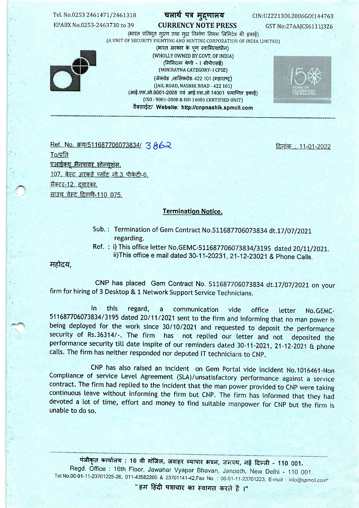### Tel. No.0253 2461471/2461318

EPABX No.0253-2463730 to 39

# चलार्थ पत्र मुद्र्णालय

**CURRENCY NOTE PRESS** 

CIN:U22213DL2006GOI144763

GST No:27AAJCS6111J3Z6



(भारत प्रतिभूत मुद्रण तथा मुद्रा निर्माण निगम लिमिटेड की इकाई) (A UNIT OF SECURITY PRINTING AND MINTING CORPORATION OF INDIA LIMITED) (भारत सरकार के पूण स्वामित्वाधीन) (WHOLLY OWNED BY GOVT, OF INDIA) (मिनिरत्न श्रेणी - । सीपीएसई) (MINIRATNA CATEGORY- I CPSE)

> (जेलरोड, नासिकरोड- 422 101 (महाराष्ट) (JAIL ROAD, NASHIK ROAD - 422 101) (आई.एस.ओ.9001-2008 एवं आई.एस.ओ.14001 प्रमाणित इकाई) (ISO: 9001-2008 & ISO 14001 CERTIFIED UNIT) वैबसाईट/ Website: http://cnpnashik.spmcil.com



Ref. No. 577/511687706073834/ 3862

<u> दिनांक : 11-01-2022</u>

 $To/\overline{A}$ एआईक्यू मैनपावर सोल्युशंस. 107, बेस्ट अरकड़े प्लॉट नो.3 पीकेटी-6, सैक्टर-12, दुवारका. साउथ वेस्ट दिल्ली-110 075.

#### **Termination Notice.**

Sub.: Termination of Gem Contract No.511687706073834 dt.17/07/2021 regarding.

Ref.: i) This office letter No.GEMC-511687706073834/3195 dated 20/11/2021. ii) This office e mail dated 30-11-20231, 21-12-23021 & Phone Calls.

महोदय.

CNP has placed Gem Contract No. 511687706073834 dt.17/07/2021 on your firm for hiring of 3 Desktop & 1 Network Support Service Technicians.

In this regard, communication  $\mathbf{a}$ vide office letter No.GEMC-511687706073834/3195 dated 20/11/2021 sent to the firm and informing that no man power is being deployed for the work since 30/10/2021 and requested to deposit the performance security of Rs.36314/-. The firm has not replied our letter and not deposited the performance security till date inspite of our reminders dated 30-11-2021, 21-12-2021 & phone calls. The firm has neither responded nor deputed IT technicians to CNP.

CNP has also raised an incident on Gem Portal vide incident No.1016461-Non Compliance of service Level Agreement (SLA)/unsatisfactory performance against a service contract. The firm had replied to the incident that the man power provided to CNP were taking continuous leave without informing the firm but CNP. The firm has informed that they had devoted a lot of time, effort and money to find suitable manpower for CNP but the firm is unable to do so.

पंजीकृत कार्यालय : 16 वी मंजिल, जवाहर व्यापार भवन, जनपथ, नई दिल्ली - 110 001. Regd. Office: 16th Floor, Jawahar Vyapar Bhavan, Janpath, New Delhi - 110 001. Tel.No.00-91-11-23701225-26, 011-43582200 & 23701141-42,Fax No.: 00-91-11-23701223, E-mail: info@spmcil.com"